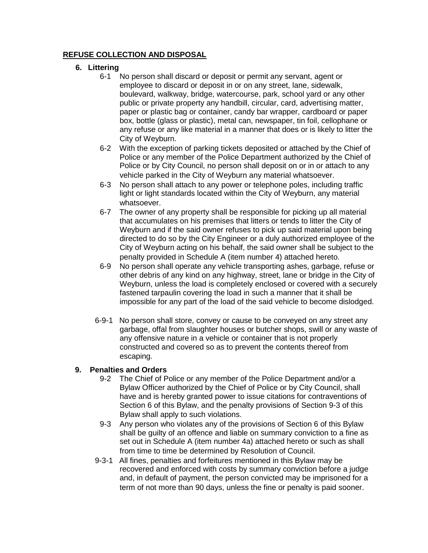## **REFUSE COLLECTION AND DISPOSAL**

## **6. Littering**

- 6-1 No person shall discard or deposit or permit any servant, agent or employee to discard or deposit in or on any street, lane, sidewalk, boulevard, walkway, bridge, watercourse, park, school yard or any other public or private property any handbill, circular, card, advertising matter, paper or plastic bag or container, candy bar wrapper, cardboard or paper box, bottle (glass or plastic), metal can, newspaper, tin foil, cellophane or any refuse or any like material in a manner that does or is likely to litter the City of Weyburn.
- 6-2 With the exception of parking tickets deposited or attached by the Chief of Police or any member of the Police Department authorized by the Chief of Police or by City Council, no person shall deposit on or in or attach to any vehicle parked in the City of Weyburn any material whatsoever.
- 6-3 No person shall attach to any power or telephone poles, including traffic light or light standards located within the City of Weyburn, any material whatsoever.
- 6-7 The owner of any property shall be responsible for picking up all material that accumulates on his premises that litters or tends to litter the City of Weyburn and if the said owner refuses to pick up said material upon being directed to do so by the City Engineer or a duly authorized employee of the City of Weyburn acting on his behalf, the said owner shall be subject to the penalty provided in Schedule A (item number 4) attached hereto.
- 6-9 No person shall operate any vehicle transporting ashes, garbage, refuse or other debris of any kind on any highway, street, lane or bridge in the City of Weyburn, unless the load is completely enclosed or covered with a securely fastened tarpaulin covering the load in such a manner that it shall be impossible for any part of the load of the said vehicle to become dislodged.
- 6-9-1 No person shall store, convey or cause to be conveyed on any street any garbage, offal from slaughter houses or butcher shops, swill or any waste of any offensive nature in a vehicle or container that is not properly constructed and covered so as to prevent the contents thereof from escaping.

## **9. Penalties and Orders**

- 9-2 The Chief of Police or any member of the Police Department and/or a Bylaw Officer authorized by the Chief of Police or by City Council, shall have and is hereby granted power to issue citations for contraventions of Section 6 of this Bylaw, and the penalty provisions of Section 9-3 of this Bylaw shall apply to such violations.
- 9-3 Any person who violates any of the provisions of Section 6 of this Bylaw shall be guilty of an offence and liable on summary conviction to a fine as set out in Schedule A (item number 4a) attached hereto or such as shall from time to time be determined by Resolution of Council.
- 9-3-1 All fines, penalties and forfeitures mentioned in this Bylaw may be recovered and enforced with costs by summary conviction before a judge and, in default of payment, the person convicted may be imprisoned for a term of not more than 90 days, unless the fine or penalty is paid sooner.